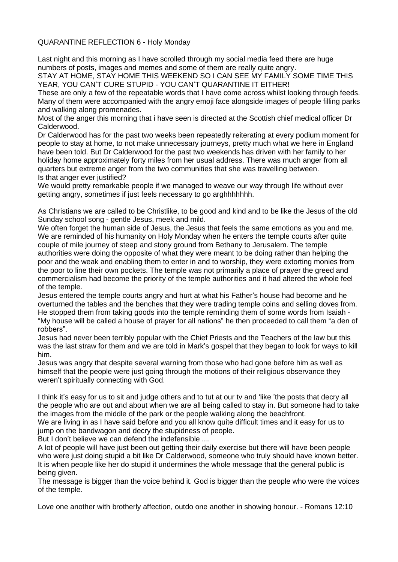QUARANTINE REFLECTION 6 - Holy Monday

Last night and this morning as I have scrolled through my social media feed there are huge numbers of posts, images and memes and some of them are really quite angry.

STAY AT HOME, STAY HOME THIS WEEKEND SO I CAN SEE MY FAMILY SOME TIME THIS YEAR, YOU CAN'T CURE STUPID - YOU CAN'T QUARANTINE IT EITHER!

These are only a few of the repeatable words that I have come across whilst looking through feeds. Many of them were accompanied with the angry emoji face alongside images of people filling parks and walking along promenades.

Most of the anger this morning that i have seen is directed at the Scottish chief medical officer Dr Calderwood.

Dr Calderwood has for the past two weeks been repeatedly reiterating at every podium moment for people to stay at home, to not make unnecessary journeys, pretty much what we here in England have been told. But Dr Calderwood for the past two weekends has driven with her family to her holiday home approximately forty miles from her usual address. There was much anger from all quarters but extreme anger from the two communities that she was travelling between. Is that anger ever justified?

We would pretty remarkable people if we managed to weave our way through life without ever getting angry, sometimes if just feels necessary to go arghhhhhhh.

As Christians we are called to be Christlike, to be good and kind and to be like the Jesus of the old Sunday school song - gentle Jesus, meek and mild.

We often forget the human side of Jesus, the Jesus that feels the same emotions as you and me. We are reminded of his humanity on Holy Monday when he enters the temple courts after quite couple of mile journey of steep and stony ground from Bethany to Jerusalem. The temple authorities were doing the opposite of what they were meant to be doing rather than helping the poor and the weak and enabling them to enter in and to worship, they were extorting monies from the poor to line their own pockets. The temple was not primarily a place of prayer the greed and commercialism had become the priority of the temple authorities and it had altered the whole feel of the temple.

Jesus entered the temple courts angry and hurt at what his Father's house had become and he overturned the tables and the benches that they were trading temple coins and selling doves from. He stopped them from taking goods into the temple reminding them of some words from Isaiah - "My house will be called a house of prayer for all nations" he then proceeded to call them "a den of

robbers".

Jesus had never been terribly popular with the Chief Priests and the Teachers of the law but this was the last straw for them and we are told in Mark's gospel that they began to look for ways to kill him.

Jesus was angry that despite several warning from those who had gone before him as well as himself that the people were just going through the motions of their religious observance they weren't spiritually connecting with God.

I think it's easy for us to sit and judge others and to tut at our tv and 'like 'the posts that decry all the people who are out and about when we are all being called to stay in. But someone had to take the images from the middle of the park or the people walking along the beachfront.

We are living in as I have said before and you all know quite difficult times and it easy for us to jump on the bandwagon and decry the stupidness of people.

But I don't believe we can defend the indefensible ....

A lot of people will have just been out getting their daily exercise but there will have been people who were just doing stupid a bit like Dr Calderwood, someone who truly should have known better. It is when people like her do stupid it undermines the whole message that the general public is being given.

The message is bigger than the voice behind it. God is bigger than the people who were the voices of the temple.

Love one another with brotherly affection, outdo one another in showing honour. - Romans 12:10